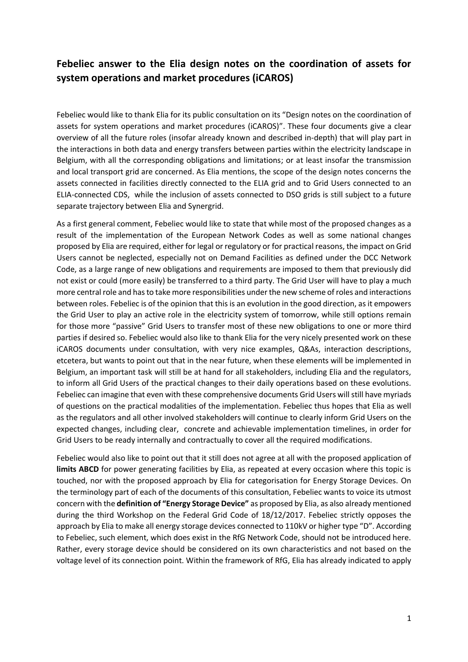# **Febeliec answer to the Elia design notes on the coordination of assets for system operations and market procedures (iCAROS)**

Febeliec would like to thank Elia for its public consultation on its "Design notes on the coordination of assets for system operations and market procedures (iCAROS)". These four documents give a clear overview of all the future roles (insofar already known and described in-depth) that will play part in the interactions in both data and energy transfers between parties within the electricity landscape in Belgium, with all the corresponding obligations and limitations; or at least insofar the transmission and local transport grid are concerned. As Elia mentions, the scope of the design notes concerns the assets connected in facilities directly connected to the ELIA grid and to Grid Users connected to an ELIA-connected CDS, while the inclusion of assets connected to DSO grids is still subject to a future separate trajectory between Elia and Synergrid.

As a first general comment, Febeliec would like to state that while most of the proposed changes as a result of the implementation of the European Network Codes as well as some national changes proposed by Elia are required, either for legal or regulatory or for practical reasons, the impact on Grid Users cannot be neglected, especially not on Demand Facilities as defined under the DCC Network Code, as a large range of new obligations and requirements are imposed to them that previously did not exist or could (more easily) be transferred to a third party. The Grid User will have to play a much more central role and has to take more responsibilities under the new scheme of roles and interactions between roles. Febeliec is of the opinion that this is an evolution in the good direction, as it empowers the Grid User to play an active role in the electricity system of tomorrow, while still options remain for those more "passive" Grid Users to transfer most of these new obligations to one or more third parties if desired so. Febeliec would also like to thank Elia for the very nicely presented work on these iCAROS documents under consultation, with very nice examples, Q&As, interaction descriptions, etcetera, but wants to point out that in the near future, when these elements will be implemented in Belgium, an important task will still be at hand for all stakeholders, including Elia and the regulators, to inform all Grid Users of the practical changes to their daily operations based on these evolutions. Febeliec can imagine that even with these comprehensive documents Grid Users will still have myriads of questions on the practical modalities of the implementation. Febeliec thus hopes that Elia as well as the regulators and all other involved stakeholders will continue to clearly inform Grid Users on the expected changes, including clear, concrete and achievable implementation timelines, in order for Grid Users to be ready internally and contractually to cover all the required modifications.

Febeliec would also like to point out that it still does not agree at all with the proposed application of **limits ABCD** for power generating facilities by Elia, as repeated at every occasion where this topic is touched, nor with the proposed approach by Elia for categorisation for Energy Storage Devices. On the terminology part of each of the documents of this consultation, Febeliec wants to voice its utmost concern with the **definition of "Energy Storage Device"** as proposed by Elia, as also already mentioned during the third Workshop on the Federal Grid Code of 18/12/2017. Febeliec strictly opposes the approach by Elia to make all energy storage devices connected to 110kV or higher type "D". According to Febeliec, such element, which does exist in the RfG Network Code, should not be introduced here. Rather, every storage device should be considered on its own characteristics and not based on the voltage level of its connection point. Within the framework of RfG, Elia has already indicated to apply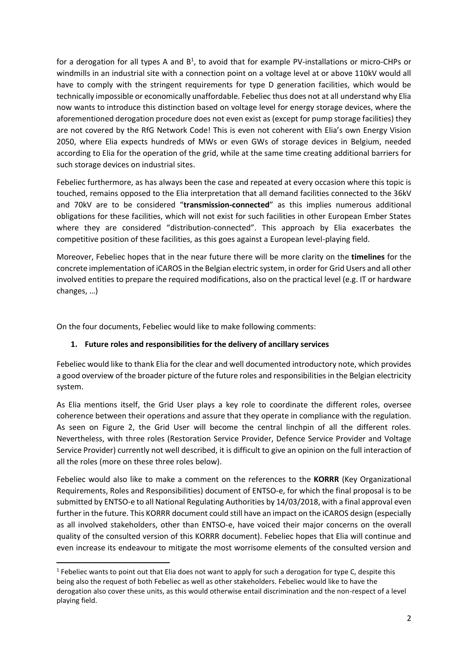for a derogation for all types A and  $B^1$ , to avoid that for example PV-installations or micro-CHPs or windmills in an industrial site with a connection point on a voltage level at or above 110kV would all have to comply with the stringent requirements for type D generation facilities, which would be technically impossible or economically unaffordable. Febeliec thus does not at all understand why Elia now wants to introduce this distinction based on voltage level for energy storage devices, where the aforementioned derogation procedure does not even exist as (except for pump storage facilities) they are not covered by the RfG Network Code! This is even not coherent with Elia's own Energy Vision 2050, where Elia expects hundreds of MWs or even GWs of storage devices in Belgium, needed according to Elia for the operation of the grid, while at the same time creating additional barriers for such storage devices on industrial sites.

Febeliec furthermore, as has always been the case and repeated at every occasion where this topic is touched, remains opposed to the Elia interpretation that all demand facilities connected to the 36kV and 70kV are to be considered "**transmission-connected**" as this implies numerous additional obligations for these facilities, which will not exist for such facilities in other European Ember States where they are considered "distribution-connected". This approach by Elia exacerbates the competitive position of these facilities, as this goes against a European level-playing field.

Moreover, Febeliec hopes that in the near future there will be more clarity on the **timelines** for the concrete implementation of iCAROS in the Belgian electric system, in order for Grid Users and all other involved entities to prepare the required modifications, also on the practical level (e.g. IT or hardware changes, …)

On the four documents, Febeliec would like to make following comments:

**.** 

# **1. Future roles and responsibilities for the delivery of ancillary services**

Febeliec would like to thank Elia for the clear and well documented introductory note, which provides a good overview of the broader picture of the future roles and responsibilities in the Belgian electricity system.

As Elia mentions itself, the Grid User plays a key role to coordinate the different roles, oversee coherence between their operations and assure that they operate in compliance with the regulation. As seen on Figure 2, the Grid User will become the central linchpin of all the different roles. Nevertheless, with three roles (Restoration Service Provider, Defence Service Provider and Voltage Service Provider) currently not well described, it is difficult to give an opinion on the full interaction of all the roles (more on these three roles below).

Febeliec would also like to make a comment on the references to the **KORRR** (Key Organizational Requirements, Roles and Responsibilities) document of ENTSO-e, for which the final proposal is to be submitted by ENTSO-e to all National Regulating Authorities by 14/03/2018, with a final approval even further in the future. This KORRR document could still have an impact on the iCAROS design (especially as all involved stakeholders, other than ENTSO-e, have voiced their major concerns on the overall quality of the consulted version of this KORRR document). Febeliec hopes that Elia will continue and even increase its endeavour to mitigate the most worrisome elements of the consulted version and

 $<sup>1</sup>$  Febeliec wants to point out that Elia does not want to apply for such a derogation for type C, despite this</sup> being also the request of both Febeliec as well as other stakeholders. Febeliec would like to have the derogation also cover these units, as this would otherwise entail discrimination and the non-respect of a level playing field.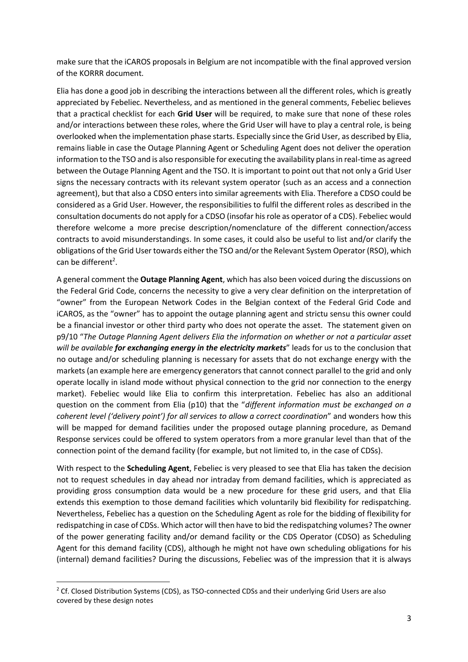make sure that the iCAROS proposals in Belgium are not incompatible with the final approved version of the KORRR document.

Elia has done a good job in describing the interactions between all the different roles, which is greatly appreciated by Febeliec. Nevertheless, and as mentioned in the general comments, Febeliec believes that a practical checklist for each **Grid User** will be required, to make sure that none of these roles and/or interactions between these roles, where the Grid User will have to play a central role, is being overlooked when the implementation phase starts. Especially since the Grid User, as described by Elia, remains liable in case the Outage Planning Agent or Scheduling Agent does not deliver the operation information to the TSO and is also responsible for executing the availability plans in real-time as agreed between the Outage Planning Agent and the TSO. It is important to point out that not only a Grid User signs the necessary contracts with its relevant system operator (such as an access and a connection agreement), but that also a CDSO enters into similar agreements with Elia. Therefore a CDSO could be considered as a Grid User. However, the responsibilities to fulfil the different roles as described in the consultation documents do not apply for a CDSO (insofar his role as operator of a CDS). Febeliec would therefore welcome a more precise description/nomenclature of the different connection/access contracts to avoid misunderstandings. In some cases, it could also be useful to list and/or clarify the obligations of the Grid User towards either the TSO and/or the Relevant System Operator (RSO), which can be different<sup>2</sup>.

A general comment the **Outage Planning Agent**, which has also been voiced during the discussions on the Federal Grid Code, concerns the necessity to give a very clear definition on the interpretation of "owner" from the European Network Codes in the Belgian context of the Federal Grid Code and iCAROS, as the "owner" has to appoint the outage planning agent and strictu sensu this owner could be a financial investor or other third party who does not operate the asset. The statement given on p9/10 "*The Outage Planning Agent delivers Elia the information on whether or not a particular asset will be available for exchanging energy in the electricity markets*" leads for us to the conclusion that no outage and/or scheduling planning is necessary for assets that do not exchange energy with the markets (an example here are emergency generators that cannot connect parallel to the grid and only operate locally in island mode without physical connection to the grid nor connection to the energy market). Febeliec would like Elia to confirm this interpretation. Febeliec has also an additional question on the comment from Elia (p10) that the "*different information must be exchanged on a coherent level ('delivery point') for all services to allow a correct coordination*" and wonders how this will be mapped for demand facilities under the proposed outage planning procedure, as Demand Response services could be offered to system operators from a more granular level than that of the connection point of the demand facility (for example, but not limited to, in the case of CDSs).

With respect to the **Scheduling Agent**, Febeliec is very pleased to see that Elia has taken the decision not to request schedules in day ahead nor intraday from demand facilities, which is appreciated as providing gross consumption data would be a new procedure for these grid users, and that Elia extends this exemption to those demand facilities which voluntarily bid flexibility for redispatching. Nevertheless, Febeliec has a question on the Scheduling Agent as role for the bidding of flexibility for redispatching in case of CDSs. Which actor will then have to bid the redispatching volumes? The owner of the power generating facility and/or demand facility or the CDS Operator (CDSO) as Scheduling Agent for this demand facility (CDS), although he might not have own scheduling obligations for his (internal) demand facilities? During the discussions, Febeliec was of the impression that it is always

**.** 

<sup>&</sup>lt;sup>2</sup> Cf. Closed Distribution Systems (CDS), as TSO-connected CDSs and their underlying Grid Users are also covered by these design notes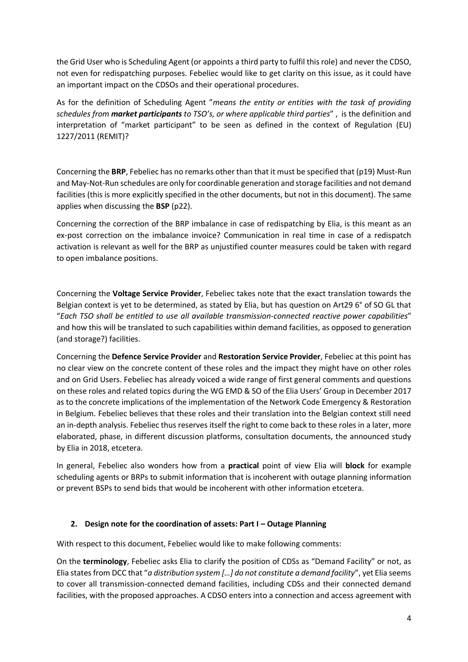the Grid User who is Scheduling Agent (or appoints a third party to fulfil this role) and never the CDSO, not even for redispatching purposes. Febeliec would like to get clarity on this issue, as it could have an important impact on the CDSOs and their operational procedures.

As for the definition of Scheduling Agent "*means the entity or entities with the task of providing schedules from market participants to TSO's, or where applicable third parties*" , is the definition and interpretation of "market participant" to be seen as defined in the context of Regulation (EU) 1227/2011 (REMIT)?

Concerning the **BRP**, Febeliec has no remarks other than that it must be specified that (p19) Must-Run and May-Not-Run schedules are only for coordinable generation and storage facilities and not demand facilities (this is more explicitly specified in the other documents, but not in this document). The same applies when discussing the **BSP** (p22).

Concerning the correction of the BRP imbalance in case of redispatching by Elia, is this meant as an ex-post correction on the imbalance invoice? Communication in real time in case of a redispatch activation is relevant as well for the BRP as unjustified counter measures could be taken with regard to open imbalance positions.

Concerning the **Voltage Service Provider**, Febeliec takes note that the exact translation towards the Belgian context is yet to be determined, as stated by Elia, but has question on Art29 6° of SO GL that "*Each TSO shall be entitled to use all available transmission-connected reactive power capabilities*" and how this will be translated to such capabilities within demand facilities, as opposed to generation (and storage?) facilities.

Concerning the **Defence Service Provider** and **Restoration Service Provider**, Febeliec at this point has no clear view on the concrete content of these roles and the impact they might have on other roles and on Grid Users. Febeliec has already voiced a wide range of first general comments and questions on these roles and related topics during the WG EMD & SO of the Elia Users' Group in December 2017 as to the concrete implications of the implementation of the Network Code Emergency & Restoration in Belgium. Febeliec believes that these roles and their translation into the Belgian context still need an in-depth analysis. Febeliec thus reserves itself the right to come back to these roles in a later, more elaborated, phase, in different discussion platforms, consultation documents, the announced study by Elia in 2018, etcetera.

In general, Febeliec also wonders how from a **practical** point of view Elia will **block** for example scheduling agents or BRPs to submit information that is incoherent with outage planning information or prevent BSPs to send bids that would be incoherent with other information etcetera.

# **2. Design note for the coordination of assets: Part I – Outage Planning**

With respect to this document, Febeliec would like to make following comments:

On the **terminology**, Febeliec asks Elia to clarify the position of CDSs as "Demand Facility" or not, as Elia states from DCC that "*a distribution system […] do not constitute a demand facility*", yet Elia seems to cover all transmission-connected demand facilities, including CDSs and their connected demand facilities, with the proposed approaches. A CDSO enters into a connection and access agreement with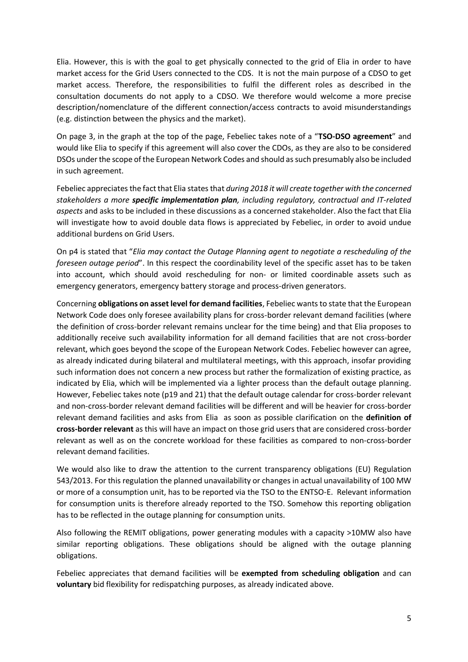Elia. However, this is with the goal to get physically connected to the grid of Elia in order to have market access for the Grid Users connected to the CDS. It is not the main purpose of a CDSO to get market access. Therefore, the responsibilities to fulfil the different roles as described in the consultation documents do not apply to a CDSO. We therefore would welcome a more precise description/nomenclature of the different connection/access contracts to avoid misunderstandings (e.g. distinction between the physics and the market).

On page 3, in the graph at the top of the page, Febeliec takes note of a "**TSO-DSO agreement**" and would like Elia to specify if this agreement will also cover the CDOs, as they are also to be considered DSOs under the scope of the European Network Codes and should as such presumably also be included in such agreement.

Febeliec appreciates the fact that Elia states that *during 2018 it will create together with the concerned stakeholders a more specific implementation plan, including regulatory, contractual and IT-related aspects* and asks to be included in these discussions as a concerned stakeholder. Also the fact that Elia will investigate how to avoid double data flows is appreciated by Febeliec, in order to avoid undue additional burdens on Grid Users.

On p4 is stated that "*Elia may contact the Outage Planning agent to negotiate a rescheduling of the foreseen outage period*". In this respect the coordinability level of the specific asset has to be taken into account, which should avoid rescheduling for non- or limited coordinable assets such as emergency generators, emergency battery storage and process-driven generators.

Concerning **obligations on asset level for demand facilities**, Febeliec wants to state that the European Network Code does only foresee availability plans for cross-border relevant demand facilities (where the definition of cross-border relevant remains unclear for the time being) and that Elia proposes to additionally receive such availability information for all demand facilities that are not cross-border relevant, which goes beyond the scope of the European Network Codes. Febeliec however can agree, as already indicated during bilateral and multilateral meetings, with this approach, insofar providing such information does not concern a new process but rather the formalization of existing practice, as indicated by Elia, which will be implemented via a lighter process than the default outage planning. However, Febeliec takes note (p19 and 21) that the default outage calendar for cross-border relevant and non-cross-border relevant demand facilities will be different and will be heavier for cross-border relevant demand facilities and asks from Elia as soon as possible clarification on the **definition of cross-border relevant** as this will have an impact on those grid users that are considered cross-border relevant as well as on the concrete workload for these facilities as compared to non-cross-border relevant demand facilities.

We would also like to draw the attention to the current transparency obligations (EU) Regulation 543/2013. For this regulation the planned unavailability or changes in actual unavailability of 100 MW or more of a consumption unit, has to be reported via the TSO to the ENTSO-E. Relevant information for consumption units is therefore already reported to the TSO. Somehow this reporting obligation has to be reflected in the outage planning for consumption units.

Also following the REMIT obligations, power generating modules with a capacity >10MW also have similar reporting obligations. These obligations should be aligned with the outage planning obligations.

Febeliec appreciates that demand facilities will be **exempted from scheduling obligation** and can **voluntary** bid flexibility for redispatching purposes, as already indicated above.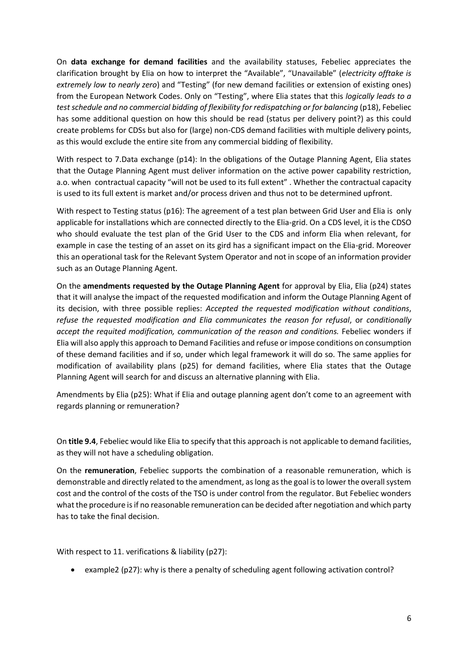On **data exchange for demand facilities** and the availability statuses, Febeliec appreciates the clarification brought by Elia on how to interpret the "Available", "Unavailable" (*electricity offtake is extremely low to nearly zero*) and "Testing" (for new demand facilities or extension of existing ones) from the European Network Codes. Only on "Testing", where Elia states that this *logically leads to a test schedule and no commercial bidding of flexibility for redispatching or for balancing* (p18), Febeliec has some additional question on how this should be read (status per delivery point?) as this could create problems for CDSs but also for (large) non-CDS demand facilities with multiple delivery points, as this would exclude the entire site from any commercial bidding of flexibility.

With respect to 7.Data exchange (p14): In the obligations of the Outage Planning Agent, Elia states that the Outage Planning Agent must deliver information on the active power capability restriction, a.o. when contractual capacity "will not be used to its full extent" . Whether the contractual capacity is used to its full extent is market and/or process driven and thus not to be determined upfront.

With respect to Testing status (p16): The agreement of a test plan between Grid User and Elia is only applicable for installations which are connected directly to the Elia-grid. On a CDS level, it is the CDSO who should evaluate the test plan of the Grid User to the CDS and inform Elia when relevant, for example in case the testing of an asset on its gird has a significant impact on the Elia-grid. Moreover this an operational task for the Relevant System Operator and not in scope of an information provider such as an Outage Planning Agent.

On the **amendments requested by the Outage Planning Agent** for approval by Elia, Elia (p24) states that it will analyse the impact of the requested modification and inform the Outage Planning Agent of its decision, with three possible replies: *Accepted the requested modification without conditions*, *refuse the requested modification and Elia communicates the reason for refusal*, or *conditionally accept the requited modification, communication of the reason and conditions.* Febeliec wonders if Elia will also apply this approach to Demand Facilities and refuse or impose conditions on consumption of these demand facilities and if so, under which legal framework it will do so. The same applies for modification of availability plans (p25) for demand facilities, where Elia states that the Outage Planning Agent will search for and discuss an alternative planning with Elia.

Amendments by Elia (p25): What if Elia and outage planning agent don't come to an agreement with regards planning or remuneration?

On **title 9.4**, Febeliec would like Elia to specify that this approach is not applicable to demand facilities, as they will not have a scheduling obligation.

On the **remuneration**, Febeliec supports the combination of a reasonable remuneration, which is demonstrable and directly related to the amendment, as long as the goal is to lower the overall system cost and the control of the costs of the TSO is under control from the regulator. But Febeliec wonders what the procedure is if no reasonable remuneration can be decided after negotiation and which party has to take the final decision.

With respect to 11. verifications & liability (p27):

example2 (p27): why is there a penalty of scheduling agent following activation control?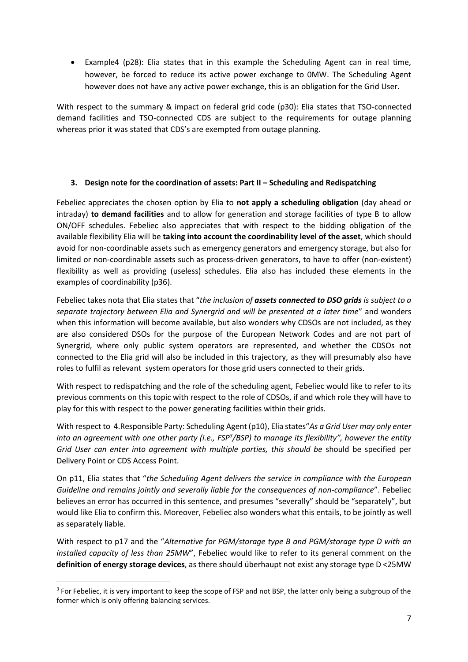Example4 (p28): Elia states that in this example the Scheduling Agent can in real time, however, be forced to reduce its active power exchange to 0MW. The Scheduling Agent however does not have any active power exchange, this is an obligation for the Grid User.

With respect to the summary & impact on federal grid code (p30): Elia states that TSO-connected demand facilities and TSO-connected CDS are subject to the requirements for outage planning whereas prior it was stated that CDS's are exempted from outage planning.

# **3. Design note for the coordination of assets: Part II – Scheduling and Redispatching**

Febeliec appreciates the chosen option by Elia to **not apply a scheduling obligation** (day ahead or intraday) **to demand facilities** and to allow for generation and storage facilities of type B to allow ON/OFF schedules. Febeliec also appreciates that with respect to the bidding obligation of the available flexibility Elia will be **taking into account the coordinability level of the asset**, which should avoid for non-coordinable assets such as emergency generators and emergency storage, but also for limited or non-coordinable assets such as process-driven generators, to have to offer (non-existent) flexibility as well as providing (useless) schedules. Elia also has included these elements in the examples of coordinability (p36).

Febeliec takes nota that Elia states that "*the inclusion of assets connected to DSO grids is subject to a separate trajectory between Elia and Synergrid and will be presented at a later time*" and wonders when this information will become available, but also wonders why CDSOs are not included, as they are also considered DSOs for the purpose of the European Network Codes and are not part of Synergrid, where only public system operators are represented, and whether the CDSOs not connected to the Elia grid will also be included in this trajectory, as they will presumably also have roles to fulfil as relevant system operators for those grid users connected to their grids.

With respect to redispatching and the role of the scheduling agent, Febeliec would like to refer to its previous comments on this topic with respect to the role of CDSOs, if and which role they will have to play for this with respect to the power generating facilities within their grids.

With respect to 4.Responsible Party: Scheduling Agent (p10), Elia states"*As a Grid User may only enter into an agreement with one other party (i.e., FSP<sup>3</sup> /BSP) to manage its flexibility", however the entity Grid User can enter into agreement with multiple parties, this should be* should be specified per Delivery Point or CDS Access Point.

On p11, Elia states that "*the Scheduling Agent delivers the service in compliance with the European Guideline and remains jointly and severally liable for the consequences of non-compliance*". Febeliec believes an error has occurred in this sentence, and presumes "severally" should be "separately", but would like Elia to confirm this. Moreover, Febeliec also wonders what this entails, to be jointly as well as separately liable.

With respect to p17 and the "*Alternative for PGM/storage type B and PGM/storage type D with an installed capacity of less than 25MW*", Febeliec would like to refer to its general comment on the **definition of energy storage devices**, as there should überhaupt not exist any storage type D <25MW

**.** 

<sup>&</sup>lt;sup>3</sup> For Febeliec, it is very important to keep the scope of FSP and not BSP, the latter only being a subgroup of the former which is only offering balancing services.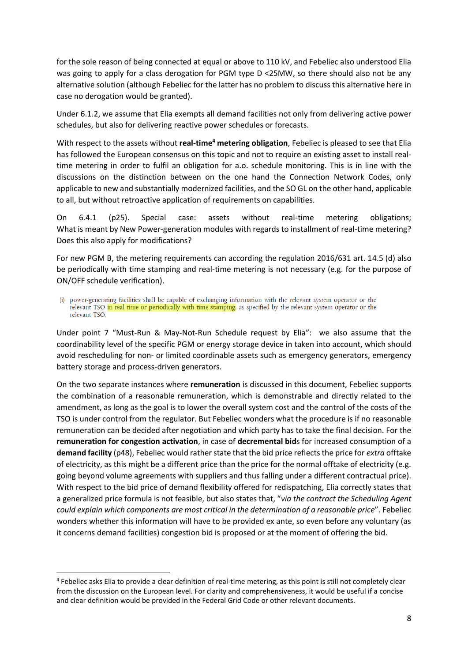for the sole reason of being connected at equal or above to 110 kV, and Febeliec also understood Elia was going to apply for a class derogation for PGM type D <25MW, so there should also not be any alternative solution (although Febeliec for the latter has no problem to discuss this alternative here in case no derogation would be granted).

Under 6.1.2, we assume that Elia exempts all demand facilities not only from delivering active power schedules, but also for delivering reactive power schedules or forecasts.

With respect to the assets without **real-time<sup>4</sup> metering obligation**, Febeliec is pleased to see that Elia has followed the European consensus on this topic and not to require an existing asset to install realtime metering in order to fulfil an obligation for a.o. schedule monitoring. This is in line with the discussions on the distinction between on the one hand the Connection Network Codes, only applicable to new and substantially modernized facilities, and the SO GL on the other hand, applicable to all, but without retroactive application of requirements on capabilities.

On 6.4.1 (p25). Special case: assets without real-time metering obligations; What is meant by New Power-generation modules with regards to installment of real-time metering? Does this also apply for modifications?

For new PGM B, the metering requirements can according the regulation 2016/631 art. 14.5 (d) also be periodically with time stamping and real-time metering is not necessary (e.g. for the purpose of ON/OFF schedule verification).

power-generating facilities shall be capable of exchanging information with the relevant system operator or the relevant TSO in real time or periodically with time stamping, as specified by the relevant system operator or the relevant TSO:

Under point 7 "Must-Run & May-Not-Run Schedule request by Elia": we also assume that the coordinability level of the specific PGM or energy storage device in taken into account, which should avoid rescheduling for non- or limited coordinable assets such as emergency generators, emergency battery storage and process-driven generators.

On the two separate instances where **remuneration** is discussed in this document, Febeliec supports the combination of a reasonable remuneration, which is demonstrable and directly related to the amendment, as long as the goal is to lower the overall system cost and the control of the costs of the TSO is under control from the regulator. But Febeliec wonders what the procedure is if no reasonable remuneration can be decided after negotiation and which party has to take the final decision. For the **remuneration for congestion activation**, in case of **decremental bid**s for increased consumption of a **demand facility** (p48), Febeliec would rather state that the bid price reflects the price for *extra* offtake of electricity, as this might be a different price than the price for the normal offtake of electricity (e.g. going beyond volume agreements with suppliers and thus falling under a different contractual price). With respect to the bid price of demand flexibility offered for redispatching, Elia correctly states that a generalized price formula is not feasible, but also states that, "*via the contract the Scheduling Agent could explain which components are most critical in the determination of a reasonable price*". Febeliec wonders whether this information will have to be provided ex ante, so even before any voluntary (as it concerns demand facilities) congestion bid is proposed or at the moment of offering the bid.

**.** 

<sup>&</sup>lt;sup>4</sup> Febeliec asks Elia to provide a clear definition of real-time metering, as this point is still not completely clear from the discussion on the European level. For clarity and comprehensiveness, it would be useful if a concise and clear definition would be provided in the Federal Grid Code or other relevant documents.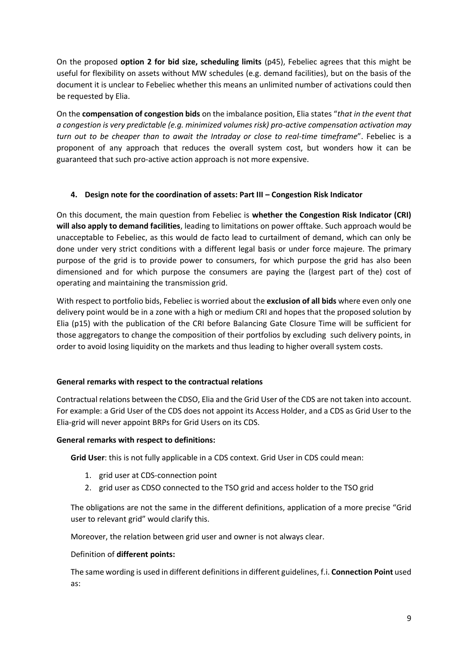On the proposed **option 2 for bid size, scheduling limits** (p45), Febeliec agrees that this might be useful for flexibility on assets without MW schedules (e.g. demand facilities), but on the basis of the document it is unclear to Febeliec whether this means an unlimited number of activations could then be requested by Elia.

On the **compensation of congestion bids** on the imbalance position, Elia states "*that in the event that a congestion is very predictable (e.g. minimized volumes risk) pro-active compensation activation may turn out to be cheaper than to await the Intraday or close to real-time timeframe*". Febeliec is a proponent of any approach that reduces the overall system cost, but wonders how it can be guaranteed that such pro-active action approach is not more expensive.

### **4. Design note for the coordination of assets: Part III – Congestion Risk Indicator**

On this document, the main question from Febeliec is **whether the Congestion Risk Indicator (CRI) will also apply to demand facilities**, leading to limitations on power offtake. Such approach would be unacceptable to Febeliec, as this would de facto lead to curtailment of demand, which can only be done under very strict conditions with a different legal basis or under force majeure. The primary purpose of the grid is to provide power to consumers, for which purpose the grid has also been dimensioned and for which purpose the consumers are paying the (largest part of the) cost of operating and maintaining the transmission grid.

With respect to portfolio bids, Febeliec is worried about the **exclusion of all bids** where even only one delivery point would be in a zone with a high or medium CRI and hopes that the proposed solution by Elia (p15) with the publication of the CRI before Balancing Gate Closure Time will be sufficient for those aggregators to change the composition of their portfolios by excluding such delivery points, in order to avoid losing liquidity on the markets and thus leading to higher overall system costs.

# **General remarks with respect to the contractual relations**

Contractual relations between the CDSO, Elia and the Grid User of the CDS are not taken into account. For example: a Grid User of the CDS does not appoint its Access Holder, and a CDS as Grid User to the Elia-grid will never appoint BRPs for Grid Users on its CDS.

#### **General remarks with respect to definitions:**

**Grid User**: this is not fully applicable in a CDS context. Grid User in CDS could mean:

- 1. grid user at CDS-connection point
- 2. grid user as CDSO connected to the TSO grid and access holder to the TSO grid

The obligations are not the same in the different definitions, application of a more precise "Grid user to relevant grid" would clarify this.

Moreover, the relation between grid user and owner is not always clear.

#### Definition of **different points:**

The same wording is used in different definitions in different guidelines, f.i. **Connection Point** used as: